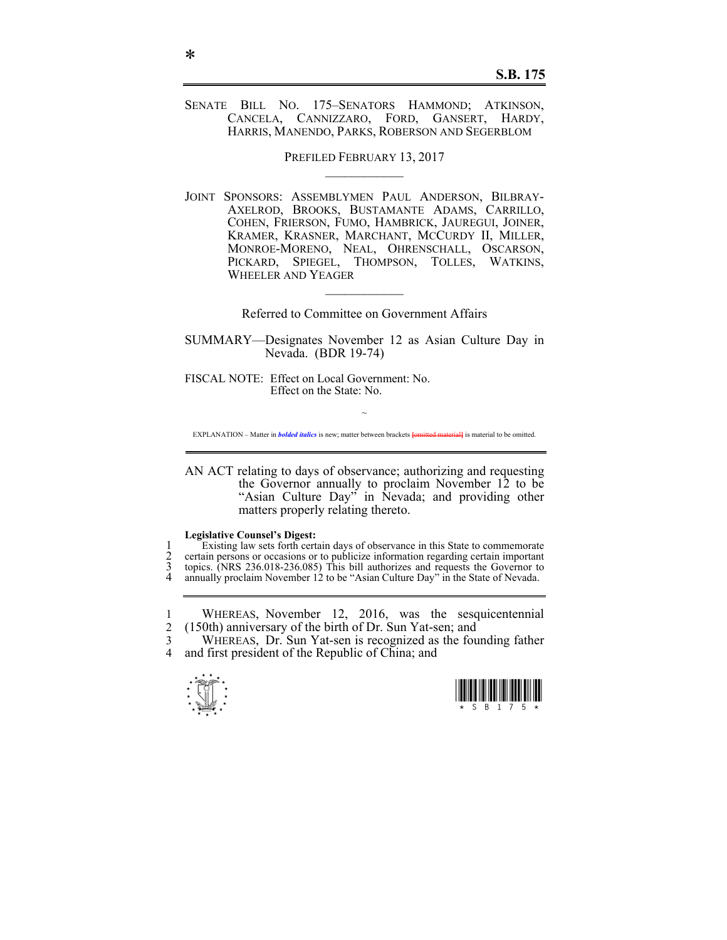## SENATE BILL NO. 175–SENATORS HAMMOND; ATKINSON, CANCELA, CANNIZZARO, FORD, GANSERT, HARDY, HARRIS, MANENDO, PARKS, ROBERSON AND SEGERBLOM

PREFILED FEBRUARY 13, 2017

JOINT SPONSORS: ASSEMBLYMEN PAUL ANDERSON, BILBRAY-AXELROD, BROOKS, BUSTAMANTE ADAMS, CARRILLO, COHEN, FRIERSON, FUMO, HAMBRICK, JAUREGUI, JOINER, KRAMER, KRASNER, MARCHANT, MCCURDY II, MILLER, MONROE-MORENO, NEAL, OHRENSCHALL, OSCARSON, PICKARD, SPIEGEL, THOMPSON, TOLLES, WATKINS, WHEELER AND YEAGER

Referred to Committee on Government Affairs

 $\mathcal{L}_\text{max}$ 

SUMMARY—Designates November 12 as Asian Culture Day in Nevada. (BDR 19-74)

FISCAL NOTE: Effect on Local Government: No. Effect on the State: No.

~ EXPLANATION – Matter in *bolded italics* is new; matter between brackets **{omitted material}** is material to be omitted.

AN ACT relating to days of observance; authorizing and requesting the Governor annually to proclaim November 12 to be "Asian Culture Day" in Nevada; and providing other matters properly relating thereto.

## **Legislative Counsel's Digest:**

1 Existing law sets forth certain days of observance in this State to commemorate<br>2 certain persons or occasions or to publicize information regarding certain important 2 certain persons or occasions or to publicize information regarding certain important 3 topics (NRS 236.018-236.085) This bill authorizes and requests the Governor to 3 topics. (NRS 236.018-236.085) This bill authorizes and requests the Governor to<br>4 annually proclaim November 12 to be "Asian Culture Day" in the State of Nevada annually proclaim November 12 to be "Asian Culture Day" in the State of Nevada.

<sup>3</sup> WHEREAS, Dr. Sun Yat-sen is recognized as the founding father 4 and first president of the Republic of China: and and first president of the Republic of China; and





<sup>1</sup> WHEREAS, November 12, 2016, was the sesquicentennial 2 (150th) anniversary of the birth of Dr. Sun Yat-sen; and